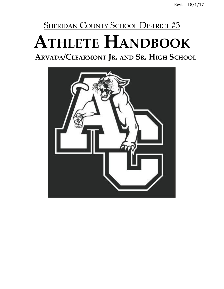# SHERIDAN COUNTY SCHOOL DISTRICT #3 **ATHLETE HANDBOOK**

**ARVADA/CLEARMONT JR. AND SR. HIGH SCHOOL**

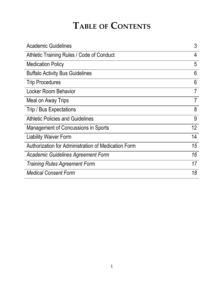## **TABLE OF CONTENTS**

| <b>Academic Guidelines</b>                          | 3              |
|-----------------------------------------------------|----------------|
| Athletic Training Rules / Code of Conduct           | 4              |
| <b>Medication Policy</b>                            | 5              |
| <b>Buffalo Activity Bus Guidelines</b>              | 6              |
| <b>Trip Procedures</b>                              | 6              |
| <b>Locker Room Behavior</b>                         | 7              |
| Meal on Away Trips                                  | $\overline{7}$ |
| Trip / Bus Expectations                             | 8              |
| <b>Athletic Policies and Guidelines</b>             | 9              |
| Management of Concussions in Sports                 | 12             |
| <b>Liability Waiver Form</b>                        | 14             |
| Authorization for Administration of Medication Form | 15             |
| <b>Academic Guidelines Agreement Form</b>           | 16             |
| <b>Training Rules Agreement Form</b>                | 17             |
| <b>Medical Consent Form</b>                         | 18             |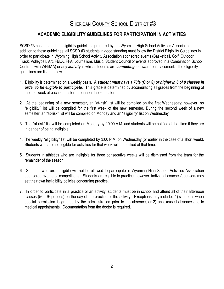## SHERIDAN COUNTY SCHOOL DISTRICT #3

## **ACADEMIC ELIGIBILITY GUIDELINES FOR PARTICIPATION IN ACTIVITIES**

SCSD #3 has adopted the eligibility guidelines prepared by the Wyoming High School Activities Association. In addition to these guidelines, all SCSD #3 students in good standing must follow the District Eligibility Guidelines in order to participate in Wyoming High School Activity Association sponsored events (Basketball, Golf, Outdoor Track, Volleyball, Art, FBLA, FFA, Journalism, Music, Student Council or events approved in a Combination School Contract with WHSAA) or any *activity* in which students are *competing* for awards or placement. The eligibility guidelines are listed below.

- 1. Eligibility is determined on a weekly basis. A student must have a 70% (C or S) or higher in 8 of 9 classes in *order to be eligible to participate.* This grade is determined by accumulating all grades from the beginning of the first week of each semester throughout the semester.
- 2. At the beginning of a new semester, an "at-risk" list will be compiled on the first Wednesday; however, no "eligibility" list will be compiled for the first week of the new semester. During the second week of a new semester, an "at-risk" list will be compiled on Monday and an "eligibility" list on Wednesday.
- 3. The "at-risk" list will be completed on Monday by 10:00 A.M. and students will be notified at that time if they are in danger of being ineligible.
- 4. The weekly "eligibility" list will be completed by 3:00 P.M. on Wednesday (or earlier in the case of a short week). Students who are not eligible for activities for that week will be notified at that time.
- 5. Students in athletics who are ineligible for three consecutive weeks will be dismissed from the team for the remainder of the season.
- 6. Students who are ineligible will not be allowed to participate in Wyoming High School Activities Association sponsored events or competitions. Students are eligible to practice; however, individual coaches/sponsors may set their own ineligibility policies concerning practice.
- 7. In order to participate in a practice or an activity, students must be in school and attend all of their afternoon classes ( $5<sup>*</sup> - 9<sup>*</sup>$  periods) on the day of the practice or the activity. Exceptions may include: 1) situations when special permission is granted by the administration prior to the absence, or 2) an excused absence due to medical appointments. Documentation from the doctor is required.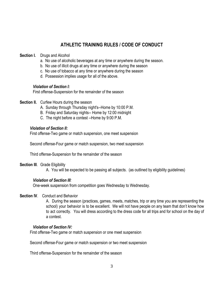## **ATHLETIC TRAINING RULES / CODE OF CONDUCT**

#### **Section I.** Drugs and Alcohol

- a. No use of alcoholic beverages at any time or anywhere during the season.
- b. No use of illicit drugs at any time or anywhere during the season
- c. No use of tobacco at any time or anywhere during the season
- d. Possession implies usage for all of the above.

#### *Violation of Section I:*

First offense-Suspension for the remainder of the season

- **Section II.** Curfew Hours during the season
	- A. Sunday through Thursday night's--Home by 10:00 P.M.
	- B. Friday and Saturday nights-- Home by 12:00 midnight
	- C. The night before a contest --Home by 9:00 P.M.

#### *Violation of Section II:*

First offense-Two game or match suspension, one meet suspension

Second offense-Four game or match suspension, two meet suspension

Third offense-Suspension for the remainder of the season

#### **Section III**. Grade Eligibility

A. You will be expected to be passing all subjects. (as outlined by eligibility guidelines)

#### *Violation of Section III:*

One-week suspension from competition goes Wednesday to Wednesday.

#### **Section IV**. Conduct and Behavior

A. During the season (practices, games, meets, matches, trip or any time you are representing the school) your behavior is to be excellent. We will not have people on any team that don't know how to act correctly. You will dress according to the dress code for all trips and for school on the day of a contest.

#### *Violation of Section IV:*

First offense-Two game or match suspension or one meet suspension

Second offense-Four game or match suspension or two meet suspension

Third offense-Suspension for the remainder of the season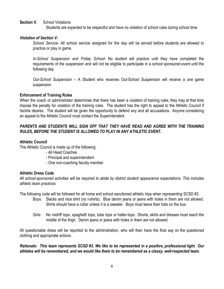#### **Section V.** School Violations

Students are expected to be respectful and have no violation of school rules during school time.

#### *Violation of Section V:*

*School Service*- All school service assigned for the day will be served before students are allowed to practice or play in game.

*In-School Suspension and Friday School*- No student will practice until they have completed the requirements of the suspension and will not be eligible to participate in a school sponsored event until the following day.

*Out-School Suspension* – A Student who receives Out-School Suspension will receive a one game suspension.

#### **Enforcement of Training Rules**

When the coach or administrator determines that there has been a violation of training rules, they may at that time impose the penalty for violation of the training rules. The student has the right to appeal to the Athletic Council if he/she desires. The student will be given the opportunity to defend any and all accusations. Anyone considering an appeal to the Athletic Council must contact the Superintendent.

#### *PARENTS AND STUDENTS WILL SIGN OFF THAT THEY HAVE READ AND AGREE WITH THE TRAINING RULES, BEFORE THE STUDENT IS ALLOWED TO PLAY IN ANY ATHLETIC EVENT.*

#### **Athletic Council**

The Athletic Council is made up of the following:

- All Head Coaches
- Principal and superintendent
- One non-coaching faculty member

#### **Athletic Dress Code**

*All school-sponsored activities will be required to abide by district student appearance expectations. This includes athletic team practices*

The following code will be followed for all home and school sanctioned athletic trips when representing SCSD #3.

- Boys: Slacks and nice shirt (no t-shirts). Blue denim jeans or jeans with holes in them are not allowed. Shirts should have a collar unless it is a sweater. Boys must leave their hats on the bus.
- Girls: No midriff tops, spaghetti tops, tube tops or halter-tops. Shorts, skirts and dresses must reach the middle of the thigh. Denim jeans or jeans with holes in them are not allowed.

All questionable dress will be reported to the administration, who will then have the final say on the questioned clothing and appropriate actions.

*Rationale: This team represents SCSD #3. We like to be represented in a positive, professional light. Our athletes will be remembered, and we would like them to be remembered as a classy, well-respected team.*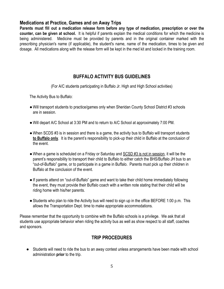#### **Medications at Practice, Games and on Away Trips**

**Parents must fill out a medication release form before any type of medication, prescription or over the counter, can be given at school.** It is helpful if parents explain the medical conditions for which the medicine is being administered. Medicine must be provided by parents and in the original container marked with the prescribing physician's name (if applicable), the student's name, name of the medication, times to be given and dosage. All medications along with the release form will be kept in the med kit and locked in the training room.

## **BUFFALO ACTIVITY BUS GUIDELINES**

(For A/C students participating in Buffalo Jr. High and High School activities)

The Activity Bus to Buffalo:

- Will transport students to practice/games only when Sheridan County School District #3 schools are in session.
- ●Will depart A/C School at 3:30 PM and to return to A/C School at approximately 7:00 PM.
- When SCDS #3 is in session and there is a game, the activity bus to Buffalo will transport students **to Buffalo only**. It is the parent's responsibility to pick-up their child in Buffalo at the conclusion of the event.
- When a game is scheduled on a Friday or Saturday and SCSD #3 is not in session, it will be the parent's responsibility to transport their child to Buffalo to either catch the BHS/Buffalo JH bus to an "out-of-Buffalo" game, or to participate in a game in Buffalo. Parents must pick up their children in Buffalo at the conclusion of the event.
- ●If parents attend on "out-of-Buffalo" game and want to take their child home immediately following the event, they must provide their Buffalo coach with a written note stating that their child will be riding home with his/her parents.
- Students who plan to ride the Activity bus will need to sign up in the office BEFORE 1:00 p.m. This allows the Transportation Dept. time to make appropriate accommodations.

Please remember that the opportunity to combine with the Buffalo schools is a privilege. We ask that all students use appropriate behavior when riding the activity bus as well as show respect to all staff, coaches and sponsors.

## **TRIP PROCEDURES**

● Students will need to ride the bus to an away contest unless arrangements have been made with school administration **prior** to the trip.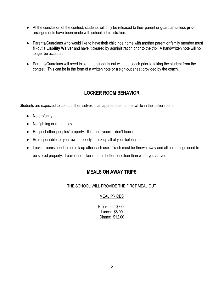- At the conclusion of the contest, students will only be released to their parent or guardian unless **prior** arrangements have been made with school administration.
- Parents/Guardians who would like to have their child ride home with another parent or family member must fill-out a **Liability Waiver** and have it cleared by administration prior to the trip. A handwritten note will no longer be accepted.
- Parents/Guardians will need to sign the students out with the coach prior to taking the student from the contest. This can be in the form of a written note or a sign-out sheet provided by the coach.

## **LOCKER ROOM BEHAVIOR**

Students are expected to conduct themselves in an appropriate manner while in the locker room.

- No profanity.
- No fighting or rough play.
- Respect other peoples' property. If it is not yours don't touch it.
- Be responsible for your own property. Lock up all of your belongings.
- **●** Locker rooms need to be pick up after each use. Trash must be thrown away and all belongings need to be stored properly. Leave the locker room in better condition than when you arrived.

## **MEALS ON AWAY TRIPS**

THE SCHOOL WILL PROVIDE THE FIRST MEAL OUT

#### MEAL PRICES

Breakfast: \$7.00 Lunch: \$8.00 Dinner: \$12.00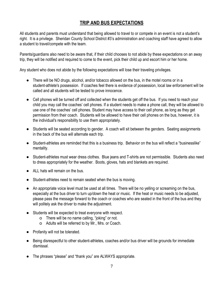#### **TRIP AND BUS EXPECTATIONS**

All students and parents must understand that being allowed to travel to or compete in an event is not a student's right. It is a privilege. Sheridan County School District #3's administration and coaching staff have agreed to allow a student to travel/compete with the team.

Parents/guardians also need to be aware that, if their child chooses to not abide by these expectations on an away trip, they will be notified and required to come to the event, pick their child up and escort him or her home.

Any student who does not abide by the following expectations will lose their traveling privileges.

- There will be NO drugs, alcohol, and/or tobacco allowed on the bus, in the motel rooms or in a student-athlete's possession. If coaches feel there is evidence of possession, local law enforcement will be called and all students will be tested to prove innocence.
- Cell phones will be turned off and collected when the students get off the bus. If you need to reach your child you may call the coaches' cell phones. If a student needs to make a phone call, they will be allowed to use one of the coaches' cell phones. Student may have access to their cell phone, as long as they get permission from their coach. Students will be allowed to have their cell phones on the bus, however, it is the individual's responsibility to use them appropriately.
- Students will be seated according to gender. A coach will sit between the genders. Seating assignments in the back of the bus will alternate each trip.
- Student-athletes are reminded that this is a business trip. Behavior on the bus will reflect a "businesslike" mentality.
- Student-athletes must wear dress clothes. Blue jeans and T-shirts are not permissible. Students also need to dress appropriately for the weather. Boots, gloves, hats and blankets are required.
- ALL hats will remain on the bus.
- Student-athletes need to remain seated when the bus is moving.
- An appropriate voice level must be used at all times. There will be no yelling or screaming on the bus, especially at the bus driver to turn up/down the heat or music. If the heat or music needs to be adjusted, please pass the message forward to the coach or coaches who are seated in the front of the bus and they will politely ask the driver to make the adjustment.
- Students will be expected to treat everyone with respect.
	- o There will be no name calling, "joking" or not.
	- o Adults will be referred to by Mr., Mrs. or Coach.
- Profanity will not be tolerated.
- Being disrespectful to other student-athletes, coaches and/or bus driver will be grounds for immediate dismissal.
- The phrases "please" and "thank you" are ALWAYS appropriate.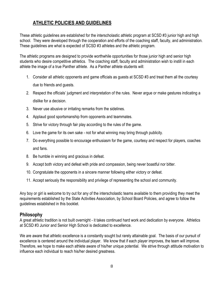## **ATHLETIC POLICIES AND GUIDELINES**

These athletic guidelines are established for the interscholastic athletic program at SCSD #3 junior high and high school. They were developed through the cooperation and efforts of the coaching staff, faculty, and administration. These guidelines are what is expected of SCSD #3 athletes and the athletic program.

The athletic programs are designed to provide worthwhile opportunities for those junior high and senior high students who desire competitive athletics. The coaching staff, faculty and administration wish to instill in each athlete the image of a true Panther athlete. As a Panther athlete students will:

- 1. Consider all athletic opponents and game officials as guests at SCSD #3 and treat them all the courtesy due to friends and guests.
- 2. Respect the officials' judgment and interpretation of the rules. Never argue or make gestures indicating a dislike for a decision.
- 3. Never use abusive or irritating remarks from the sidelines.
- 4. Applaud good sportsmanship from opponents and teammates.
- 5. Strive for victory through fair play according to the rules of the game.
- 6. Love the game for its own sake not for what winning may bring through publicity.
- 7. Do everything possible to encourage enthusiasm for the game, courtesy and respect for players, coaches and fans.
- 8. Be humble in winning and gracious in defeat.
- 9. Accept both victory and defeat with pride and compassion, being never boastful nor bitter.
- 10. Congratulate the opponents in a sincere manner following either victory or defeat.
- 11. Accept seriously the responsibility and privilege of representing the school and community.

Any boy or girl is welcome to try out for any of the interscholastic teams available to them providing they meet the requirements established by the State Activities Association, by School Board Policies, and agree to follow the guidelines established in this booklet.

#### **Philosophy**

A great athletic tradition is not built overnight - it takes continued hard work and dedication by everyone. Athletics at SCSD #3 Junior and Senior High School is dedicated to excellence.

We are aware that athletic excellence is a constantly sought but rarely attainable goal. The basis of our pursuit of excellence is centered around the individual player. We know that if each player improves, the team will improve. Therefore, we hope to make each athlete aware of his/her unique potential. We strive through attitude motivation to influence each individual to reach his/her desired greatness.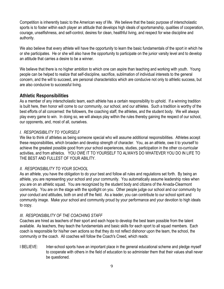Competition is inherently basic to the American way of life. We believe that the basic purpose of interscholastic sports is to foster within each player an attitude that develops high ideals of sportsmanship, qualities of cooperation, courage, unselfishness, and self-control, desires for clean, healthful living, and respect for wise discipline and authority.

We also believe that every athlete will have the opportunity to learn the basic fundamentals of the sport in which he or she participates. He or she will also have the opportunity to participate on the junior varsity level and to develop an attitude that carries a desire to be a winner.

We believe that there is no higher ambition to which one can aspire than teaching and working with youth. Young people can be helped to realize that self-discipline, sacrifice, sublimation of individual interests to the general concern, and the will to succeed, are personal characteristics which are conducive not only to athletic success, but are also conducive to successful living.

#### **Athletic Responsibilities**

As a member of any interscholastic team, each athlete has a certain responsibility to uphold. If a winning tradition is built here, then honor will come to our community, our school, and our athletes. Such a tradition is worthy of the best efforts of all concerned: the followers, the coaching staff, the athletes, and the student body. We will always play every game to win. In doing so, we will always play within the rules thereby gaining the respect of our school, our opponents, and, most of all, ourselves.

#### *I. RESPONSIBILITY TO YOURSELF*

We like to think of athletes as being someone special who will assume additional responsibilities. Athletes accept these responsibilities, which broaden and develop strength of character. You, as an athlete, owe it to yourself to achieve the greatest possible good from your school experiences, studies, participation in the other co-curricular activities, and from athletics. YOU OWE IT TO YOURSELF TO ALWAYS DO WHATEVER YOU DO IN LIFE TO THE BEST AND FULLEST OF YOUR ABILITY.

#### *II. RESPONSIBILITY TO YOUR SCHOOL*

As an athlete, you have the obligation to do your best and follow all rules and regulations set forth. By being an athlete, you are representing your school and your community. You automatically assume leadership roles when you are on an athletic squad. You are recognized by the student body and citizens of the Arvada-Clearmont community. You are on the stage with the spotlight on you. Other people judge our school and our community by your conduct and attitudes, both on and off the field. As a leader, you can contribute to our school spirit and community image. Make your school and community proud by your performance and your devotion to high ideals to copy.

#### *III. RESPONSIBILITY OF THE COACHING STAFF*

Coaches are hired as teachers of their sport and each hope to develop the best team possible from the talent available. As teachers, they teach the fundamentals and basic skills for each sport to all squad members. Each coach is responsible for his/her own actions so that they do not reflect dishonor upon the team, the school, the community or the coach. All coaches will follow the Coach's Creed, which reads:

I BELIEVE: Inter-school sports have an important place in the general educational scheme and pledge myself to cooperate with others in the field of education to so administer them that their values shall never be questioned.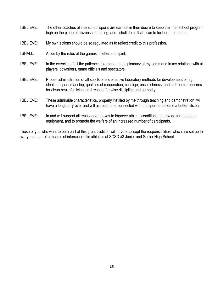I BELIEVE: The other coaches of interschool sports are earnest in their desire to keep the inter school program high on the plane of citizenship training, and I shall do all that I can to further their efforts. I BELIEVE: My own actions should be so regulated as to reflect credit to this profession. I SHALL: Abide by the rules of the games in letter and spirit. I BELIEVE: In the exercise of all the patience, tolerance, and diplomacy at my command in my relations with all players, coworkers, game officials and spectators. I BELIEVE: Proper administration of all sports offers effective laboratory methods for development of high ideals of sportsmanship, qualities of cooperation, courage, unselfishness, and self-control, desires for clean healthful living, and respect for wise discipline and authority. I BELIEVE: These admirable characteristics, properly instilled by me through teaching and demonstration, will have a long carry-over and will aid each one connected with the sport to become a better citizen. I BELIEVE: In and will support all reasonable moves to improve athletic conditions, to provide for adequate equipment, and to promote the welfare of an increased number of participants.

Those of you who want to be a part of this great tradition will have to accept the responsibilities, which are set up for every member of all teams of interscholastic athletics at SCSD #3 Junior and Senior High School.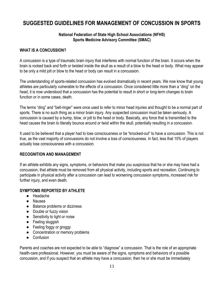## **SUGGESTED GUIDELINES FOR MANAGEMENT OF CONCUSSION IN SPORTS**

#### **National Federation of State High School Associations (NFHS) Sports Medicine Advisory Committee (SMAC)**

#### **WHAT IS A CONCUSSION?**

A concussion is a type of traumatic brain injury that interferes with normal function of the brain. It occurs when the brain is rocked back and forth or twisted inside the skull as a result of a blow to the head or body. What may appear to be only a mild jolt or blow to the head or body can result in a concussion.

The understanding of sports-related concussion has evolved dramatically in recent years. We now know that young athletes are particularly vulnerable to the effects of a concussion. Once considered little more than a "ding" on the head, it is now understood that a concussion has the potential to result in short or long-term changes to brain function or in some cases, death.

The terms "ding" and "bell-ringer" were once used to refer to minor head injuries and thought to be a normal part of sports. There is no such thing as a minor brain injury. Any suspected concussion must be taken seriously. A concussion is caused by a bump, blow, or jolt to the head or body. Basically, any force that is transmitted to the head causes the brain to literally bounce around or twist within the skull, potentially resulting in a concussion.

It used to be believed that a player had to lose consciousness or be "knocked-out" to have a concussion. This is not true, as the vast majority of concussions do not involve a loss of consciousness. In fact, less that 10% of players actually lose consciousness with a concussion.

#### **RECOGNITION AND MANAGEMENT**

If an athlete exhibits any signs, symptoms, or behaviors that make you suspicious that he or she may have had a concussion, that athlete must be removed from all physical activity, including sports and recreation. Continuing to participate in physical activity after a concussion can lead to worsening concussion symptoms, increased risk for further injury, and even death.

#### **SYMPTOMS REPORTED BY ATHLETE**

- Headache
- Nausea
- Balance problems or dizziness
- Double or fuzzy vision
- Sensitivity to light or noise
- Feeling sluggish
- Feeling foggy or groggy
- Concentration or memory problems
- Confusion

Parents and coaches are not expected to be able to "diagnose" a concussion. That is the role of an appropriate health-care professional. However, you must be aware of the signs, symptoms and behaviors of a possible concussion, and if you suspect that an athlete may have a concussion, then he or she must be immediately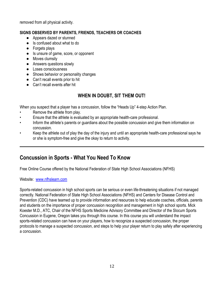removed from all physical activity.

#### **SIGNS OBSERVED BY PARENTS, FRIENDS, TEACHERS OR COACHES**

- Appears dazed or stunned
- Is confused about what to do
- Forgets plays
- Is unsure of game, score, or opponent
- Moves clumsily
- Answers questions slowly
- Loses consciousness
- Shows behavior or personality changes
- Can't recall events prior to hit
- Can't recall events after hit

## **WHEN IN DOUBT, SIT THEM OUT!**

When you suspect that a player has a concussion, follow the "Heads Up" 4-step Action Plan.

- Remove the athlete from play.
- Ensure that the athlete is evaluated by an appropriate health-care professional.
- Inform the athlete's parents or guardians about the possible concussion and give them information on concussion.
- Keep the athlete out of play the day of the injury and until an appropriate health-care professional says he or she is symptom-free and give the okay to return to activity.

## **Concussion in Sports - What You Need To Know**

Free Online Course offered by the National Federation of State High School Associations (NFHS)

Website: [www.nfhslearn.com](http://www.nfhslearn.com/)

Sports-related concussion in high school sports can be serious or even life-threatening situations if not managed correctly. National Federation of State High School Associations (NFHS) and Centers for Disease Control and Prevention (CDC) have teamed up to provide information and resources to help educate coaches, officials, parents and students on the importance of proper concussion recognition and management in high school sports. Mick Koester M.D., ATC, Chair of the NFHS Sports Medicine Advisory Committee and Director of the Slocum Sports Concussion in Eugene, Oregon takes you through this course. In this course you will understand the impact sports-related concussion can have on your players, how to recognize a suspected concussion, the proper protocols to manage a suspected concussion, and steps to help your player return to play safely after experiencing a concussion.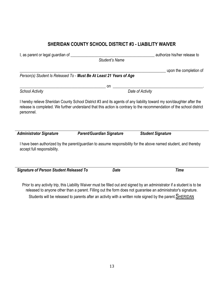## **SHERIDAN COUNTY SCHOOL DISTRICT #3 - LIABILITY WAIVER**

| I, as parent or legal guardian of __________                        |                                  | authorize his/her release to                                                                                                                                                                                                                  |  |
|---------------------------------------------------------------------|----------------------------------|-----------------------------------------------------------------------------------------------------------------------------------------------------------------------------------------------------------------------------------------------|--|
|                                                                     | <b>Student's Name</b>            |                                                                                                                                                                                                                                               |  |
|                                                                     |                                  | upon the completion of                                                                                                                                                                                                                        |  |
| Person(s) Student Is Released To - Must Be At Least 21 Years of Age |                                  |                                                                                                                                                                                                                                               |  |
|                                                                     | on                               |                                                                                                                                                                                                                                               |  |
| <b>School Activity</b>                                              |                                  | Date of Activity                                                                                                                                                                                                                              |  |
| personnel.                                                          |                                  | I hereby relieve Sheridan County School District #3 and its agents of any liability toward my son/daughter after the<br>release is completed. We further understand that this action is contrary to the recommendation of the school district |  |
| <b>Administrator Signature</b>                                      | <b>Parent/Guardian Signature</b> | <b>Student Signature</b>                                                                                                                                                                                                                      |  |
| accept full responsibility.                                         |                                  | I have been authorized by the parent/guardian to assume responsibility for the above named student, and thereby                                                                                                                               |  |
| <b>Signature of Person Student Released To</b>                      | <b>Date</b>                      | <b>Time</b>                                                                                                                                                                                                                                   |  |
|                                                                     |                                  |                                                                                                                                                                                                                                               |  |
|                                                                     |                                  | Prior to any activity trip, this Liability Waiver must be filled out and signed by an administrator if a student is to be                                                                                                                     |  |

released to anyone other than a parent. Filling out the form does not guarantee an administrator's signature. Students will be released to parents after an activity with a written note signed by the parent. **SHERIDAN**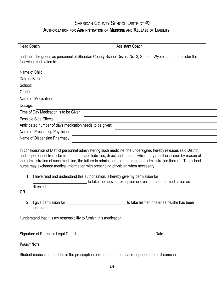## SHERIDAN COUNTY SCHOOL DISTRICT #3

#### **AUTHORIZATION FOR ADMINISTRATION OF MEDICINE AND RELEASE OF LIABILITY**

| <b>Head Coach</b>                                        | <b>Assistant Coach</b>                                                                                         |
|----------------------------------------------------------|----------------------------------------------------------------------------------------------------------------|
| following medication to:                                 | and their designees as personnel of Sheridan County School District No. 3, State of Wyoming, to administer the |
| Name of Child:                                           |                                                                                                                |
| Date of Birth:                                           |                                                                                                                |
| School:                                                  |                                                                                                                |
| Grade:                                                   |                                                                                                                |
| Name of Medication:                                      |                                                                                                                |
| Dosage:                                                  |                                                                                                                |
| Time of Day Medication is to be Given:                   |                                                                                                                |
| Possible Side Effects:                                   |                                                                                                                |
| Anticipated number of days medication needs to be given: |                                                                                                                |
| Name of Prescribing Physician:                           |                                                                                                                |
| Name of Dispensing Pharmacy                              |                                                                                                                |
|                                                          |                                                                                                                |

In consideration of District personnel administering such medicine, the undersigned hereby releases said District and its personnel from claims, demands and liabilities, direct and indirect, which may result or accrue by reason of the administration of such medicine, the failure to administer it, or the improper administration thereof. The school nurse may exchange medical information with prescribing physician when necessary.

1. I have read and understand this authorization. I hereby give my permission for

to take the above prescription or over-the-counter medication as directed.

**OR**

2. I give permission for \_\_\_\_\_\_\_\_\_\_\_\_\_\_\_\_\_\_\_\_\_\_\_\_\_\_\_\_\_\_ to take his/her inhaler as he/she has been instructed.

I understand that it is my responsibility to furnish this medication.

Signature of Parent or Legal Guardian Date

**PARENT NOTE:**

Student medication must be in the prescription bottle or in the original (unopened) bottle it came in.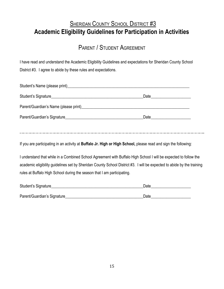## **SHERIDAN COUNTY SCHOOL DISTRICT #3 Academic Eligibility Guidelines for Participation in Activities**

## PARENT / STUDENT AGREEMENT

I have read and understand the Academic Eligibility Guidelines and expectations for Sheridan County School District #3. I agree to abide by these rules and expectations.

| Student's Name (please print)<br>Student's Name (please print)                                                                                                                                                                   |                                                                                                                                                                                                                                |  |
|----------------------------------------------------------------------------------------------------------------------------------------------------------------------------------------------------------------------------------|--------------------------------------------------------------------------------------------------------------------------------------------------------------------------------------------------------------------------------|--|
|                                                                                                                                                                                                                                  |                                                                                                                                                                                                                                |  |
| Parent/Guardian's Name (please print)<br>expansion of the contract of the contract of the contract of the contract of the contract of the contract of the contract of the contract of the contract of the contract of the contra |                                                                                                                                                                                                                                |  |
| Parent/Guardian's Signature                                                                                                                                                                                                      | Date and the state of the state of the state of the state of the state of the state of the state of the state of the state of the state of the state of the state of the state of the state of the state of the state of the s |  |
|                                                                                                                                                                                                                                  |                                                                                                                                                                                                                                |  |

If you are participating in an activity at **Buffalo Jr. High or High School,** please read and sign the following:

I understand that while in a Combined School Agreement with Buffalo High School I will be expected to follow the academic eligibility guidelines set by Sheridan County School District #3. I will be expected to abide by the training rules at Buffalo High School during the season that I am participating.

| Student's Signature         | Date |  |
|-----------------------------|------|--|
|                             |      |  |
| Parent/Guardian's Signature | Date |  |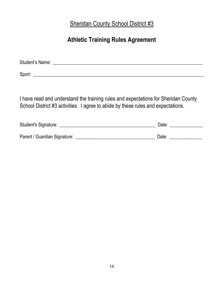Sheridan County School District #3

## **Athletic Training Rules Agreement**

| <b>Student's Name:</b> |  |
|------------------------|--|
|                        |  |

Sport: \_\_\_\_\_\_\_\_\_\_\_\_\_\_\_\_\_\_\_\_\_\_\_\_\_\_\_\_\_\_\_\_\_\_\_\_\_\_\_\_\_\_\_\_\_\_\_\_\_\_\_\_\_\_\_\_\_\_\_\_\_\_\_\_\_\_\_\_\_\_\_\_\_

I have read and understand the training rules and expectations for Sheridan County School District #3 activities. I agree to abide by these rules and expectations.

| Student's Signature:         | Date: |
|------------------------------|-------|
| Parent / Guardian Signature: | Date: |